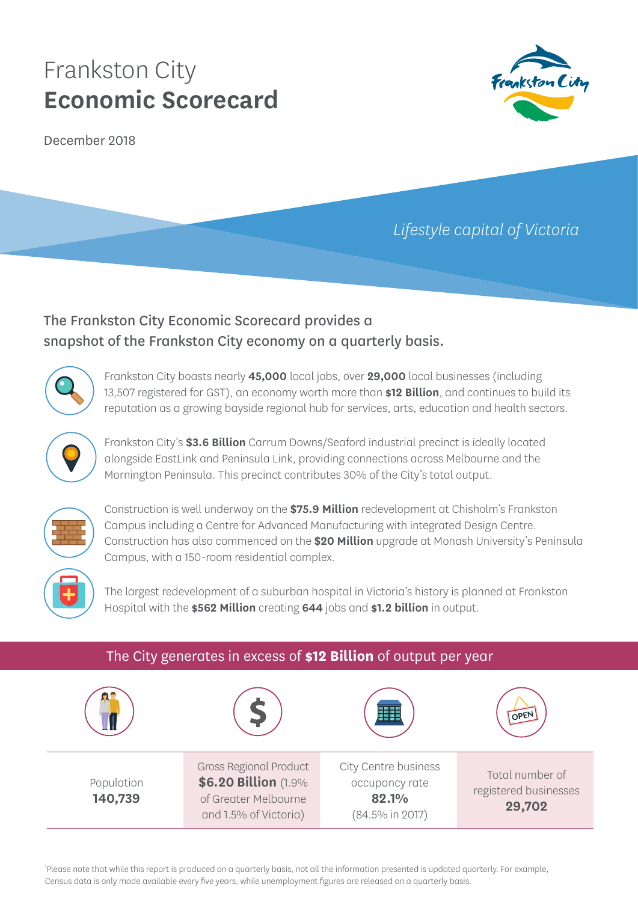December 2018



# *Lifestyle capital of Victoria*

## The Frankston City Economic Scorecard provides a snapshot of the Frankston City economy on a quarterly basis.



Frankston City boasts nearly **45,000** local jobs, over **29,000** local businesses (including 13,507 registered for GST), an economy worth more than **\$12 Billion**, and continues to build its reputation as a growing bayside regional hub for services, arts, education and health sectors.



Frankston City's **\$3.6 Billion** Carrum Downs/Seaford industrial precinct is ideally located alongside EastLink and Peninsula Link, providing connections across Melbourne and the Mornington Peninsula. This precinct contributes 30% of the City's total output.



Construction is well underway on the **\$75.9 Million** redevelopment at Chisholm's Frankston Campus including a Centre for Advanced Manufacturing with integrated Design Centre. Construction has also commenced on the **\$20 Million** upgrade at Monash University's Peninsula Campus, with a 150-room residential complex.



The largest redevelopment of a suburban hospital in Victoria's history is planned at Frankston Hospital with the **\$562 Million** creating **644** jobs and **\$1.2 billion** in output.

| The City generates in excess of \$12 Billion of output per year |                                                                                                        |                                                                    |                                                    |  |
|-----------------------------------------------------------------|--------------------------------------------------------------------------------------------------------|--------------------------------------------------------------------|----------------------------------------------------|--|
|                                                                 |                                                                                                        |                                                                    | OPEN                                               |  |
| Population<br>140,739                                           | <b>Gross Regional Product</b><br>\$6.20 Billion (1.9%<br>of Greater Melbourne<br>and 1.5% of Victoria) | City Centre business<br>occupancy rate<br>82.1%<br>(84.5% in 2017) | Total number of<br>registered businesses<br>29,702 |  |

1 Please note that while this report is produced on a quarterly basis, not all the information presented is updated quarterly. For example, Census data is only made available every five years, while unemployment figures are released on a quarterly basis.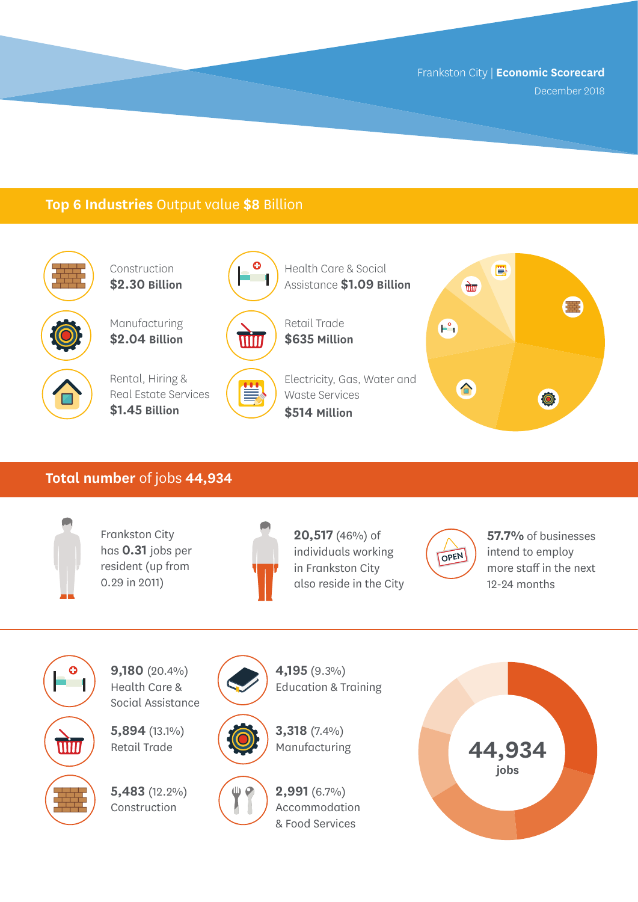December 2018

### **Top 6 Industries** Output value **\$8** Billion



Construction **\$2.30 Billion**

Manufacturing **\$2.04 Billion**



Rental, Hiring & Real Estate Services **\$1.45 Billion**



win



Health Care & Social

Electricity, Gas, Water and Ë Waste Services **\$514 Million**



#### **Total number** of jobs **44,934**



Frankston City has **0.31** jobs per resident (up from 0.29 in 2011)



**20,517** (46%) of individuals working in Frankston City also reside in the City



**57.7%** of businesses intend to employ more staff in the next 12-24 months



**9,180** (20.4%) Health Care & Social Assistance

**5,894** (13.1%) Retail Trade

**5,483** (12.2%) Construction





Education & Training

**4,195** (9.3%)





**2,991** (6.7%) Accommodation & Food Services

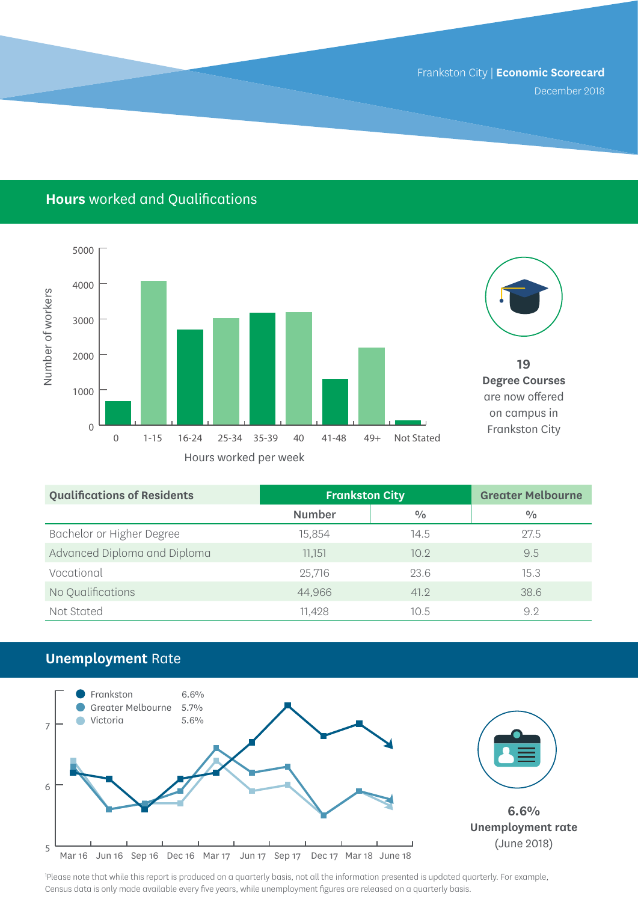December 2018

## **Hours** worked and Qualifications





**19 Degree Courses**  are now offered on campus in Frankston City

| <b>Qualifications of Residents</b> | <b>Frankston City</b> |      | <b>Greater Melbourne</b> |
|------------------------------------|-----------------------|------|--------------------------|
|                                    | <b>Number</b>         | 0/0  | 0/0                      |
| Bachelor or Higher Degree          | 15.854                | 14.5 | 27.5                     |
| Advanced Diploma and Diploma       | 11.151                | 10.9 | 9.5                      |
| Vocational                         | 25,716                | 23.6 | 15.3                     |
| No Qualifications                  | 44,966                | 41.2 | 38.6                     |
| Not Stated                         | 11,428                | 10.5 | 9.2                      |

## **Unemployment** Rate



1 Please note that while this report is produced on a quarterly basis, not all the information presented is updated quarterly. For example, Census data is only made available every five years, while unemployment figures are released on a quarterly basis.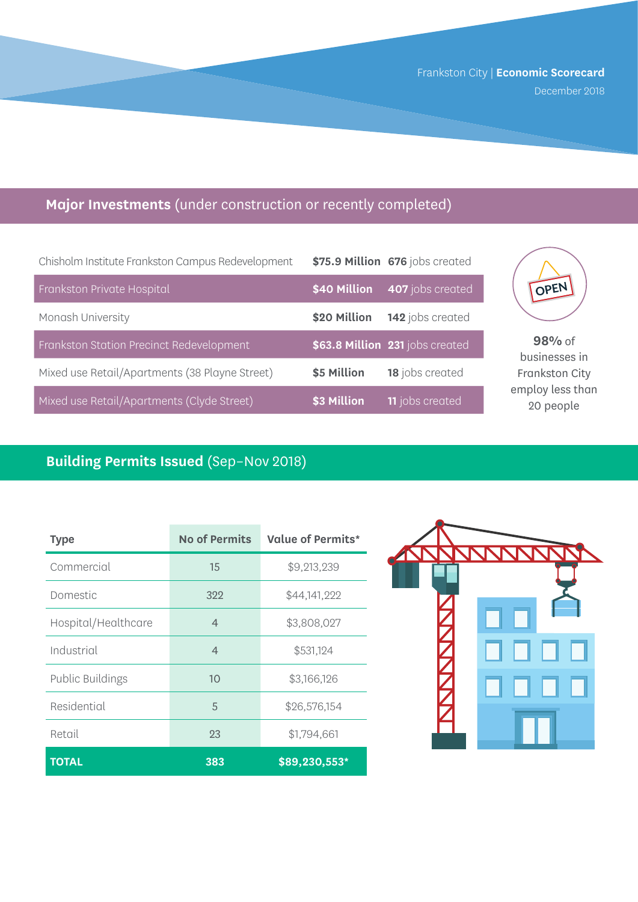Frankston City | **Economic Scorecard**  December 2018

## **Major Investments** (under construction or recently completed)

| Chisholm Institute Frankston Campus Redevelopment |              | \$75.9 Million 676 jobs created |
|---------------------------------------------------|--------------|---------------------------------|
| Frankston Private Hospital                        | \$40 Million | 407 jobs created                |
| Monash University                                 | \$20 Million | 142 jobs created                |
| Frankston Station Precinct Redevelopment          |              | \$63.8 Million 231 jobs created |
| Mixed use Retail/Apartments (38 Playne Street)    | \$5 Million  | 18 jobs created                 |
| Mixed use Retail/Apartments (Clyde Street)        | \$3 Million  | <b>11</b> jobs created          |



**98%** of businesses in Frankston City employ less than 20 people

## **Building Permits Issued** (Sep–Nov 2018)

| Type                    | <b>No of Permits</b> | Value of Permits* |
|-------------------------|----------------------|-------------------|
| Commercial              | 15                   | \$9,213,239       |
| Domestic                | 322                  | \$44,141,222      |
| Hospital/Healthcare     | $\overline{4}$       | \$3,808,027       |
| Industrial              | $\overline{4}$       | \$531,124         |
| <b>Public Buildings</b> | 10                   | \$3,166,126       |
| Residential             | 5                    | \$26,576,154      |
| Retail                  | 23                   | \$1,794,661       |
| <b>TOTAL</b>            | 383                  | \$89,230,553*     |

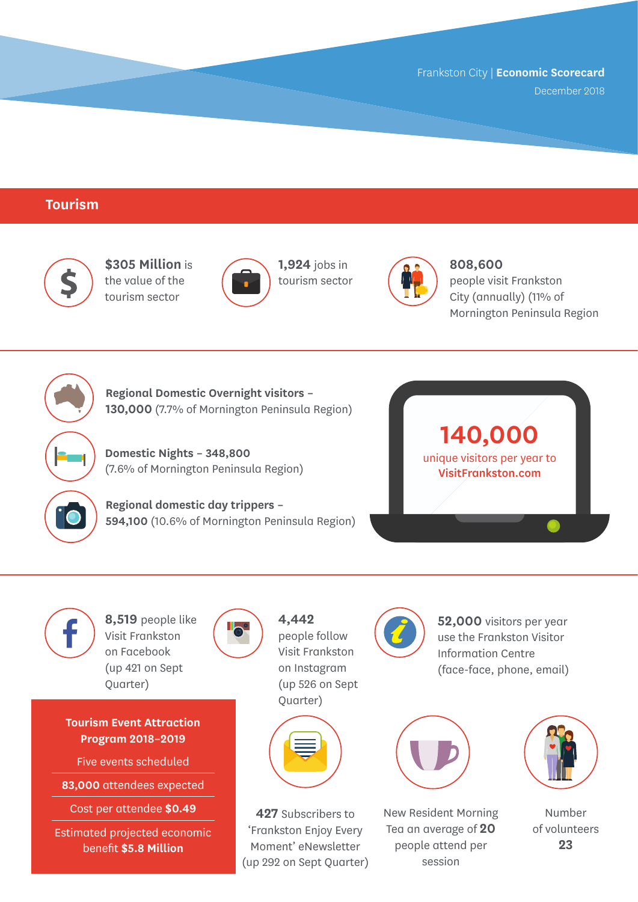December 2018

#### **Tourism**



**\$305 Million** is the value of the tourism sector



**1,924** jobs in tourism sector



**808,600**  people visit Frankston City (annually) (11% of Mornington Peninsula Region



**Regional Domestic Overnight visitors – 130,000** (7.7% of Mornington Peninsula Region)

**Domestic Nights – 348,800** (7.6% of Mornington Peninsula Region)

**Regional domestic day trippers – 594,100** (10.6% of Mornington Peninsula Region)





**8,519** people like Visit Frankston on Facebook (up 421 on Sept Quarter)

**Tourism Event Attraction Program 2018–2019**

Five events scheduled

**83,000** attendees expected

Cost per attendee **\$0.49**

Estimated projected economic benefit **\$5.8 Million**



**4,442**  people follow Visit Frankston on Instagram (up 526 on Sept Quarter)



**427** Subscribers to 'Frankston Enjoy Every Moment' eNewsletter (up 292 on Sept Quarter)



**52,000** visitors per year use the Frankston Visitor Information Centre (face-face, phone, email)



New Resident Morning Tea an average of **20** people attend per session



Number of volunteers **23**